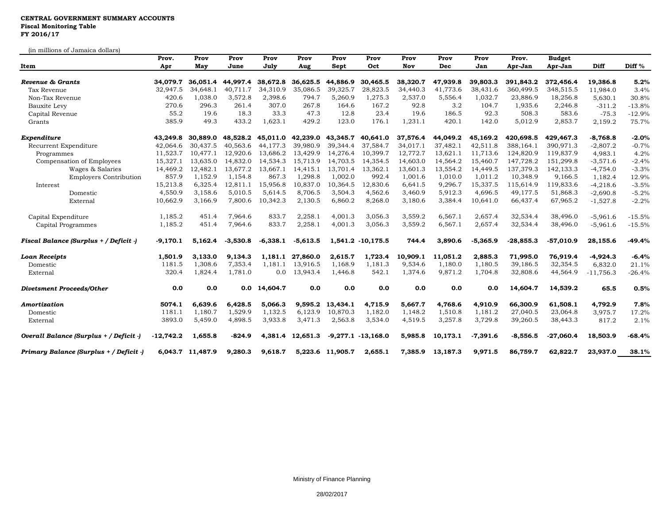## **CENTRAL GOVERNMENT SUMMARY ACCOUNTS Fiscal Monitoring Table FY 2016/17**

(in millions of Jamaica dollars)

| Item                                    | Prov.<br>Apr | Prov<br>May      | Prov<br>June | Prov<br>July | Prov<br>Aug | Prov<br>Sept     | Prov<br>Oct            | Prov<br><b>Nov</b> | Prov<br>Dec | Prov<br>Jan | Prov.<br>Apr-Jan | <b>Budget</b><br>Apr-Jan | Diff        | Diff <sup>%</sup> |
|-----------------------------------------|--------------|------------------|--------------|--------------|-------------|------------------|------------------------|--------------------|-------------|-------------|------------------|--------------------------|-------------|-------------------|
|                                         |              |                  |              |              |             |                  |                        |                    |             |             |                  |                          |             |                   |
| Revenue & Grants                        | 34,079.7     | 36,051.4         | 44,997.4     | 38,672.8     | 36,625.5    | 44,886.9         | 30,465.5               | 38,320.7           | 47,939.8    | 39,803.3    | 391,843.2        | 372,456.4                | 19,386.8    | 5.2%              |
| Tax Revenue                             | 32,947.5     | 34,648.1         | 40,711.7     | 34,310.9     | 35,086.5    | 39,325.7         | 28,823.5               | 34,440.3           | 41,773.6    | 38,431.6    | 360,499.5        | 348,515.5                | 11,984.0    | 3.4%              |
| Non-Tax Revenue                         | 420.6        | 1,038.0          | 3,572.8      | 2,398.6      | 794.7       | 5,260.9          | 1,275.3                | 2,537.0            | 5,556.4     | 1,032.7     | 23,886.9         | 18,256.8                 | 5,630.1     | 30.8%             |
| Bauxite Levy                            | 270.6        | 296.3            | 261.4        | 307.0        | 267.8       | 164.6            | 167.2                  | 92.8               | 3.2         | 104.7       | 1,935.6          | 2,246.8                  | $-311.2$    | $-13.8%$          |
| Capital Revenue                         | 55.2         | 19.6             | 18.3         | 33.3         | 47.3        | 12.8             | 23.4                   | 19.6               | 186.5       | 92.3        | 508.3            | 583.6                    | $-75.3$     | $-12.9%$          |
| Grants                                  | 385.9        | 49.3             | 433.2        | 1,623.1      | 429.2       | 123.0            | 176.1                  | 1,231.1            | 420.1       | 142.0       | 5,012.9          | 2,853.7                  | 2,159.2     | 75.7%             |
| Expenditure                             | 43.249.8     | 30.889.0         | 48,528.2     | 45,011.0     | 42,239.0    | 43,345.7         | 40,641.0               | 37,576.4           | 44,049.2    | 45,169.2    | 420,698.5        | 429,467.3                | $-8,768.8$  | $-2.0%$           |
| Recurrent Expenditure                   | 42.064.6     | 30.437.5         | 40.563.6     | 44.177.3     | 39,980.9    | 39.344.4         | 37.584.7               | 34.017.1           | 37.482.1    | 42,511.8    | 388, 164.1       | 390.971.3                | $-2,807.2$  | $-0.7%$           |
| Programmes                              | 11,523.7     | 10.477.1         | 12,920.6     | 13,686.2     | 13,429.9    | 14,276.4         | 10,399.7               | 12,772.7           | 13,621.1    | 11,713.6    | 124,820.9        | 119,837.9                | 4,983.1     | 4.2%              |
| Compensation of Employees               | 15,327.1     | 13,635.0         | 14,832.0     | 14,534.3     | 15,713.9    | 14,703.5         | 14,354.5               | 14,603.0           | 14,564.2    | 15,460.7    | 147,728.2        | 151,299.8                | $-3,571.6$  | $-2.4%$           |
| Wages & Salaries                        | 14,469.2     | 12,482.1         | 13,677.2     | 13,667.1     | 14,415.1    | 13,701.4         | 13,362.1               | 13,601.3           | 13,554.2    | 14,449.5    | 137,379.3        | 142,133.3                | $-4,754.0$  | $-3.3%$           |
| <b>Employers Contribution</b>           | 857.9        | 1,152.9          | 1,154.8      | 867.3        | 1,298.8     | 1,002.0          | 992.4                  | 1,001.6            | 1,010.0     | 1,011.2     | 10,348.9         | 9,166.5                  | 1,182.4     | 12.9%             |
| Interest                                | 15,213.8     | 6,325.4          | 12,811.1     | 15,956.8     | 10,837.0    | 10.364.5         | 12.830.6               | 6,641.5            | 9,296.7     | 15,337.5    | 115,614.9        | 119,833.6                | $-4,218.6$  | $-3.5%$           |
| Domestic                                | 4,550.9      | 3,158.6          | 5,010.5      | 5,614.5      | 8,706.5     | 3,504.3          | 4,562.6                | 3,460.9            | 5,912.3     | 4,696.5     | 49,177.5         | 51,868.3                 | $-2,690.8$  | $-5.2%$           |
| External                                | 10,662.9     | 3,166.9          | 7,800.6      | 10,342.3     | 2,130.5     | 6,860.2          | 8,268.0                | 3,180.6            | 3,384.4     | 10,641.0    | 66,437.4         | 67,965.2                 | $-1,527.8$  | $-2.2%$           |
| Capital Expenditure                     | 1,185.2      | 451.4            | 7,964.6      | 833.7        | 2,258.1     | 4,001.3          | 3,056.3                | 3,559.2            | 6,567.1     | 2,657.4     | 32,534.4         | 38,496.0                 | $-5,961.6$  | $-15.5%$          |
| Capital Programmes                      | 1,185.2      | 451.4            | 7,964.6      | 833.7        | 2,258.1     | 4,001.3          | 3,056.3                | 3,559.2            | 6,567.1     | 2,657.4     | 32,534.4         | 38,496.0                 | $-5,961.6$  | $-15.5%$          |
| Fiscal Balance (Surplus + / Deficit -)  | $-9,170.1$   | 5,162.4          | $-3,530.8$   | $-6,338.1$   | $-5,613.5$  |                  | 1,541.2 -10,175.5      | 744.4              | 3,890.6     | $-5,365.9$  | $-28,855.3$      | $-57,010.9$              | 28,155.6    | $-49.4%$          |
| <b>Loan Receipts</b>                    | 1,501.9      | 3,133.0          | 9,134.3      | 1,181.1      | 27,860.0    | 2,615.7          | 1,723.4                | 10,909.1           | 11,051.2    | 2,885.3     | 71,995.0         | 76,919.4                 | $-4,924.3$  | $-6.4%$           |
| Domestic                                | 1181.5       | 1,308.6          | 7,353.4      | 1,181.1      | 13,916.5    | 1,168.9          | 1,181.3                | 9,534.6            | 1,180.0     | 1,180.5     | 39,186.5         | 32,354.5                 | 6,832.0     | 21.1%             |
| External                                | 320.4        | 1,824.4          | 1,781.0      | 0.0          | 13,943.4    | 1,446.8          | 542.1                  | 1,374.6            | 9,871.2     | 1,704.8     | 32,808.6         | 44,564.9                 | $-11,756.3$ | $-26.4%$          |
| <b>Divetsment Proceeds/Other</b>        | 0.0          | 0.0              |              | 0.0 14,604.7 | 0.0         | 0.0              | 0.0                    | 0.0                | 0.0         | 0.0         | 14,604.7         | 14,539.2                 | 65.5        | 0.5%              |
| Amortization                            | 5074.1       | 6.639.6          | 6,428.5      | 5,066.3      | 9.595.2     | 13,434.1         | 4,715.9                | 5.667.7            | 4,768.6     | 4,910.9     | 66,300.9         | 61,508.1                 | 4,792.9     | 7.8%              |
| Domestic                                | 1181.1       | 1,180.7          | 1,529.9      | 1,132.5      | 6,123.9     | 10,870.3         | 1,182.0                | 1,148.2            | 1,510.8     | 1,181.2     | 27,040.5         | 23,064.8                 | 3,975.7     | 17.2%             |
| External                                | 3893.0       | 5,459.0          | 4,898.5      | 3,933.8      | 3,471.3     | 2,563.8          | 3,534.0                | 4,519.5            | 3,257.8     | 3,729.8     | 39,260.5         | 38,443.3                 | 817.2       | 2.1%              |
| Overall Balance (Surplus + / Deficit -) | $-12,742.2$  | 1,655.8          | $-824.9$     | 4,381.4      | 12,651.3    |                  | $-9,277.1$ $-13,168.0$ | 5,985.8            | 10,173.1    | $-7,391.6$  | $-8,556.5$       | $-27,060.4$              | 18,503.9    | $-68.4%$          |
| Primary Balance (Surplus + / Deficit -) |              | 6,043.7 11,487.9 | 9,280.3      | 9,618.7      |             | 5,223.6 11,905.7 | 2,655.1                | 7,385.9            | 13,187.3    | 9,971.5     | 86,759.7         | 62,822.7                 | 23,937.0    | 38.1%             |